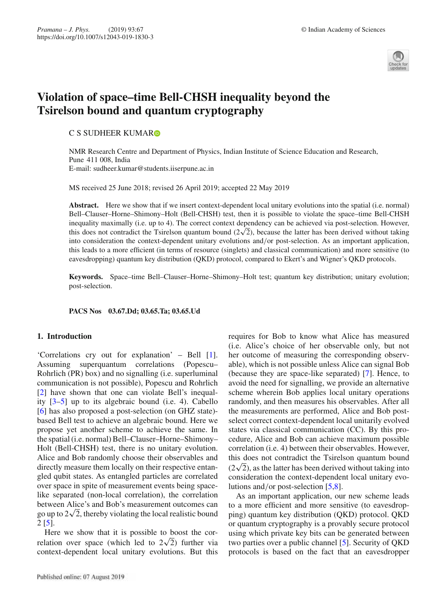

# **Violation of space–time Bell-CHSH inequality beyond the Tsirelson bound and quantum cryptography**

## C S SUDHEER KUMAR<sup>®</sup>

NMR Research Centre and Department of Physics, Indian Institute of Science Education and Research, Pune 411 008, India E-mail: sudheer.kumar@students.iiserpune.ac.in

MS received 25 June 2018; revised 26 April 2019; accepted 22 May 2019

**Abstract.** Here we show that if we insert context-dependent local unitary evolutions into the spatial (i.e. normal) Bell–Clauser–Horne–Shimony–Holt (Bell-CHSH) test, then it is possible to violate the space–time Bell-CHSH inequality maximally (i.e. up to 4). The correct context dependency can be achieved via post-selection. However, this does not contradict the Tsirelson quantum bound  $(2\sqrt{2})$ , because the latter has been derived without taking into consideration the context-dependent unitary evolutions and/or post-selection. As an important application, this leads to a more efficient (in terms of resource (singlets) and classical communication) and more sensitive (to eavesdropping) quantum key distribution (QKD) protocol, compared to Ekert's and Wigner's QKD protocols.

**Keywords.** Space–time Bell–Clauser–Horne–Shimony–Holt test; quantum key distribution; unitary evolution; post-selection.

**PACS Nos 03.67.Dd; 03.65.Ta; 03.65.Ud**

## **1. Introduction**

'Correlations cry out for explanation' – Bell [1]. Assuming superquantum correlations (Popescu– Rohrlich (PR) box) and no signalling (i.e. superluminal communication is not possible), Popescu and Rohrlich [2] have shown that one can violate Bell's inequality  $[3-5]$  up to its algebraic bound (i.e. 4). Cabello [6] has also proposed a post-selection (on GHZ state) based Bell test to achieve an algebraic bound. Here we propose yet another scheme to achieve the same. In the spatial (i.e. normal) Bell–Clauser–Horne–Shimony– Holt (Bell-CHSH) test, there is no unitary evolution. Alice and Bob randomly choose their observables and directly measure them locally on their respective entangled qubit states. As entangled particles are correlated over space in spite of measurement events being spacelike separated (non-local correlation), the correlation between Alice's and Bob's measurement outcomes can go up to  $2\sqrt{2}$ , thereby violating the local realistic bound 2 [5].

Here we show that it is possible to boost the correlation over space (which led to  $2\sqrt{2}$ ) further via context-dependent local unitary evolutions. But this requires for Bob to know what Alice has measured (i.e. Alice's choice of her observable only, but not her outcome of measuring the corresponding observable), which is not possible unless Alice can signal Bob (because they are space-like separated) [7]. Hence, to avoid the need for signalling, we provide an alternative scheme wherein Bob applies local unitary operations randomly, and then measures his observables. After all the measurements are performed, Alice and Bob postselect correct context-dependent local unitarily evolved states via classical communication (CC). By this procedure, Alice and Bob can achieve maximum possible correlation (i.e. 4) between their observables. However, this does not contradict the Tsirelson quantum bound  $(2\sqrt{2})$ , as the latter has been derived without taking into consideration the context-dependent local unitary evolutions and/or post-selection [5,8].

As an important application, our new scheme leads to a more efficient and more sensitive (to eavesdropping) quantum key distribution (QKD) protocol. QKD or quantum cryptography is a provably secure protocol using which private key bits can be generated between two parties over a public channel [5]. Security of QKD protocols is based on the fact that an eavesdropper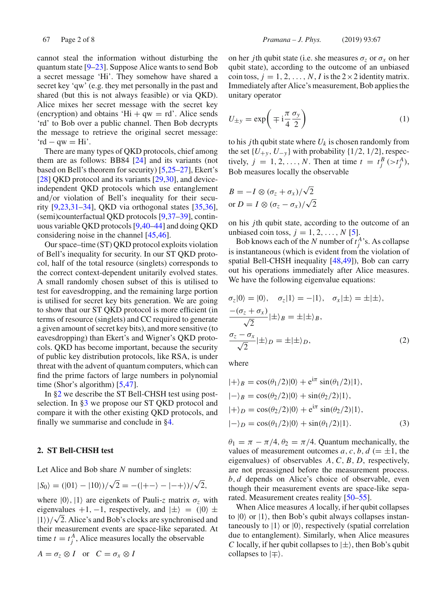cannot steal the information without disturbing the quantum state [9–23]. Suppose Alice wants to send Bob a secret message 'Hi'. They somehow have shared a secret key 'qw' (e.g. they met personally in the past and shared (but this is not always feasible) or via QKD). Alice mixes her secret message with the secret key (encryption) and obtains 'Hi +  $qw = rd'$ . Alice sends 'rd' to Bob over a public channel. Then Bob decrypts the message to retrieve the original secret message:  $\text{`rd} - \text{qw} = \text{Hi'}.$ 

There are many types of QKD protocols, chief among them are as follows: BB84 [24] and its variants (not based on Bell's theorem for security) [5,25–27], Ekert's [28] QKD protocol and its variants [29,30], and deviceindependent QKD protocols which use entanglement and/or violation of Bell's inequality for their security [9,23,31–34], QKD via orthogonal states [35,36], (semi)counterfactual QKD protocols [9,37–39], continuous variable QKD protocols [9,40–44] and doing QKD considering noise in the channel [45,46].

Our space–time (ST) QKD protocol exploits violation of Bell's inequality for security. In our ST QKD protocol, half of the total resource (singlets) corresponds to the correct context-dependent unitarily evolved states. A small randomly chosen subset of this is utilised to test for eavesdropping, and the remaining large portion is utilised for secret key bits generation. We are going to show that our ST QKD protocol is more efficient (in terms of resource (singlets) and CC required to generate a given amount of secret key bits), and more sensitive (to eavesdropping) than Ekert's and Wigner's QKD protocols. QKD has become important, because the security of public key distribution protocols, like RSA, is under threat with the advent of quantum computers, which can find the prime factors of large numbers in polynomial time (Shor's algorithm) [5,47].

In §2 we describe the ST Bell-CHSH test using postselection. In §3 we propose our ST QKD protocol and compare it with the other existing QKD protocols, and finally we summarise and conclude in §4.

## **2. ST Bell-CHSH test**

Let Alice and Bob share *N* number of singlets:

$$
|S_0\rangle = (|01\rangle - |10\rangle)/\sqrt{2} = -(|+-\rangle - |-+\rangle)/\sqrt{2},
$$

where  $|0\rangle$ ,  $|1\rangle$  are eigenkets of Pauli-*z* matrix  $\sigma_z$  with eigenvalues +1, -1, respectively, and  $|\pm\rangle$  = (|0)  $\pm$  $|1\rangle/\sqrt{2}$ . Alice's and Bob's clocks are synchronised and their measurement events are space-like separated. At time  $t = t_j^A$ , Alice measures locally the observable

$$
A = \sigma_z \otimes I \quad \text{or} \quad C = \sigma_x \otimes I
$$

on her *j*th qubit state (i.e. she measures  $\sigma_z$  or  $\sigma_x$  on her qubit state), according to the outcome of an unbiased coin toss,  $j = 1, 2, ..., N$ , *I* is the  $2 \times 2$  identity matrix. Immediately after Alice's measurement, Bob applies the unitary operator

$$
U_{\pm y} = \exp\left(\mp i\frac{\pi}{4}\frac{\sigma_y}{2}\right) \tag{1}
$$

to his *j*th qubit state where  $U_k$  is chosen randomly from the set  $\{U_{+y}, U_{-y}\}$  with probability  $\{1/2, 1/2\}$ , respectively,  $j = 1, 2, \ldots, N$ . Then at time  $t = t_j^B (\gt t_j^A)$ , Bob measures locally the observable

$$
B = -I \otimes (\sigma_z + \sigma_x)/\sqrt{2}
$$
  
or 
$$
D = I \otimes (\sigma_z - \sigma_x)/\sqrt{2}
$$

on his *j*th qubit state, according to the outcome of an unbiased coin toss,  $j = 1, 2, \ldots, N$  [5].

Bob knows each of the *N* number of  $t_j^A$ 's. As collapse is instantaneous (which is evident from the violation of spatial Bell-CHSH inequality [48,49]), Bob can carry out his operations immediately after Alice measures. We have the following eigenvalue equations:

$$
\sigma_z|0\rangle = |0\rangle, \quad \sigma_z|1\rangle = -|1\rangle, \quad \sigma_x|\pm\rangle = \pm|\pm\rangle,
$$
  

$$
\frac{-(\sigma_z + \sigma_x)}{\sqrt{2}}|\pm\rangle_B = \pm|\pm\rangle_B,
$$
  

$$
\frac{\sigma_z - \sigma_x}{\sqrt{2}}|\pm\rangle_D = \pm|\pm\rangle_D,
$$
 (2)

where

$$
|+\rangle_B = \cos(\theta_1/2)|0\rangle + e^{i\pi} \sin(\theta_1/2)|1\rangle,
$$
  
\n
$$
|-\rangle_B = \cos(\theta_2/2)|0\rangle + \sin(\theta_2/2)|1\rangle,
$$
  
\n
$$
|+\rangle_D = \cos(\theta_2/2)|0\rangle + e^{i\pi} \sin(\theta_2/2)|1\rangle,
$$
  
\n
$$
|-\rangle_D = \cos(\theta_1/2)|0\rangle + \sin(\theta_1/2)|1\rangle.
$$
 (3)

 $\theta_1 = \pi - \pi/4$ ,  $\theta_2 = \pi/4$ . Quantum mechanically, the values of measurement outcomes *a*, *c*, *b*, *d* (=  $\pm$ 1, the eigenvalues) of observables *A*,*C*, *B*, *D*, respectively, are not preassigned before the measurement process. *b*, *d* depends on Alice's choice of observable, even though their measurement events are space-like separated. Measurement creates reality [50–55].

When Alice measures *A* locally, if her qubit collapses to  $|0\rangle$  or  $|1\rangle$ , then Bob's qubit always collapses instantaneously to  $|1\rangle$  or  $|0\rangle$ , respectively (spatial correlation due to entanglement). Similarly, when Alice measures *C* locally, if her qubit collapses to  $|\pm\rangle$ , then Bob's qubit collapses to  $|\mp\rangle$ .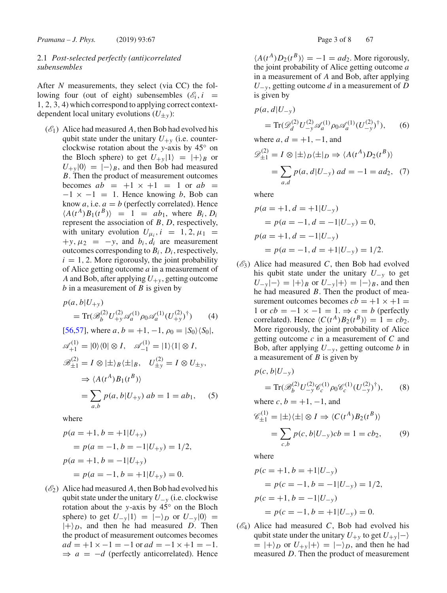## 2.1 *Post-selected perfectly (anti)correlated subensembles*

After *N* measurements, they select (via CC) the following four (out of eight) subensembles  $(\mathscr{E}_i, i)$ 1, 2, 3, 4) which correspond to applying correct contextdependent local unitary evolutions  $(U_{\pm y})$ :

 $(\mathscr{E}_1)$  Alice had measured A, then Bob had evolved his qubit state under the unitary  $U_{+\nu}$  (i.e. counterclockwise rotation about the *y*-axis by 45◦ on the Bloch sphere) to get  $U_{+y}|1\rangle = |+\rangle_B$  or  $U_{+y}|0\rangle = |-y|_B$ , and then Bob had measured *B*. Then the product of measurement outcomes becomes  $ab = +1 \times +1 = 1$  or  $ab =$  $-1 \times -1 = 1$ . Hence knowing *b*, Bob can know  $a$ , i.e.  $a = b$  (perfectly correlated). Hence  $\langle A(t^A)B_1(t^B) \rangle = 1 = ab_1$ , where  $B_i, D_i$ represent the association of *B*, *D*, respectively, with unitary evolution  $U_{\mu_i}$ ,  $i = 1, 2, \mu_1$  $+y, \mu_2 = -y$ , and  $b_i, d_i$  are measurement outcomes corresponding to  $B_i$ ,  $D_i$ , respectively,  $i = 1, 2$ . More rigorously, the joint probability of Alice getting outcome *a* in a measurement of *A* and Bob, after applying  $U_{+y}$ , getting outcome *b* in a measurement of *B* is given by

$$
p(a, b|U_{+y})
$$
  
= Tr( $\mathcal{B}_b^{(2)} U_{+y}^{(2)} \mathcal{A}_a^{(1)} \rho_0 \mathcal{A}_a^{(1)} (U_{+y}^{(2)})^{\dagger}$ ) (4)  
[56,57], where  $a, b = +1, -1, \rho_0 = |S_0\rangle\langle S_0|$ ,  
 $\mathcal{A}_{+1}^{(1)} = |0\rangle\langle 0| \otimes I, \quad \mathcal{A}_{-1}^{(1)} = |1\rangle\langle 1| \otimes I,$ 

$$
\mathcal{B}_{\pm 1}^{(2)} = I \otimes |\pm\rangle_B \langle \pm |_B, \quad U_{\pm y}^{(2)} = I \otimes U_{\pm y},
$$

$$
\Rightarrow \langle A(t^A)B_1(t^B) \rangle
$$

$$
= \sum_{a,b} p(a,b|U_{+y}) ab = 1 = ab_1, \quad (5)
$$

where

$$
p(a = +1, b = +1|U_{+y})
$$
  
=  $p(a = -1, b = -1|U_{+y}) = 1/2,$   

$$
p(a = +1, b = -1|U_{+y})
$$
  
=  $p(a = -1, b = +1|U_{+y}) = 0.$ 

 $(\mathscr{E}_2)$  Alice had measured A, then Bob had evolved his qubit state under the unitary *U*−*<sup>y</sup>* (i.e. clockwise rotation about the *y*-axis by 45◦ on the Bloch sphere) to get  $U_{-\nu}|1\rangle = |-\rangle_D$  or  $U_{-\nu}|0\rangle =$  $|+\rangle_D$ , and then he had measured *D*. Then the product of measurement outcomes becomes  $ad = +1 \times -1 = -1$  or  $ad = -1 \times +1 = -1$ .  $\Rightarrow$  *a* =  $-d$  (perfectly anticorrelated). Hence

 $\langle A(t^A)D_2(t^B) \rangle = -1 = ad_2$ . More rigorously, the joint probability of Alice getting outcome *a* in a measurement of *A* and Bob, after applying  $U_{-\nu}$ , getting outcome *d* in a measurement of *D* is given by

$$
p(a, d|U_{-y})
$$
  
= Tr( $\mathscr{D}_d^{(2)} U_{-y}^{(2)} \mathscr{A}_a^{(1)} \rho_0 \mathscr{A}_a^{(1)} (U_{-y}^{(2)})^{\dagger}$ ), (6)

where  $a, d = +1, -1$ , and

$$
\mathcal{D}_{\pm 1}^{(2)} = I \otimes |\pm\rangle_D \langle \pm |_D \Rightarrow \langle A(t^A)D_2(t^B) \rangle
$$
  
= 
$$
\sum_{a,d} p(a,d|U_{-y}) ad = -1 = ad_2, (7)
$$

where

$$
p(a = +1, d = +1|U_{-y})
$$
  
=  $p(a = -1, d = -1|U_{-y}) = 0$ ,  
 $p(a = +1, d = -1|U_{-y})$   
=  $p(a = -1, d = +1|U_{-y}) = 1/2$ .

 $(\mathscr{E}_3)$  Alice had measured *C*, then Bob had evolved his qubit state under the unitary  $U_{-y}$  to get  $U_{-\nu}|-\rangle = |+\rangle_B$  or  $U_{-\nu}|+\rangle = |-\rangle_B$ , and then he had measured *B*. Then the product of measurement outcomes becomes  $cb = +1 \times +1 =$ 1 or  $cb = -1 \times -1 = 1$ .  $\Rightarrow c = b$  (perfectly correlated). Hence  $\langle C(t^A)B_2(t^B) \rangle = 1 = cb_2$ . More rigorously, the joint probability of Alice getting outcome *c* in a measurement of *C* and Bob, after applying  $U_{-v}$ , getting outcome *b* in a measurement of *B* is given by

$$
p(c, b|U_{-y})
$$
  
= Tr( $\mathcal{B}_b^{(2)} U_{-y}^{(2)} \mathcal{C}_c^{(1)} \rho_0 \mathcal{C}_c^{(1)} (U_{-y}^{(2)})^{\dagger}$ ), (8)  
where  $c, b = +1, -1$ , and

$$
\mathcal{C}_{\pm 1}^{(1)} = |\pm\rangle\langle\pm| \otimes I \Rightarrow \langle C(t^A)B_2(t^B) \rangle
$$
  
= 
$$
\sum_{c,b} p(c,b|U_{-y})cb = 1 = cb_2,
$$
 (9)

where

$$
p(c = +1, b = +1|U_{-y})
$$
  
=  $p(c = -1, b = -1|U_{-y}) = 1/2,$   

$$
p(c = +1, b = -1|U_{-y})
$$
  
=  $p(c = -1, b = +1|U_{-y}) = 0.$ 

 $(\mathscr{E}_4)$  Alice had measured *C*, Bob had evolved his qubit state under the unitary  $U_{+y}$  to get  $U_{+y}$  |− $\rangle$  $= |+\rangle_D$  or  $U_{+y}|+\rangle = |-\rangle_D$ , and then he had measured *D*. Then the product of measurement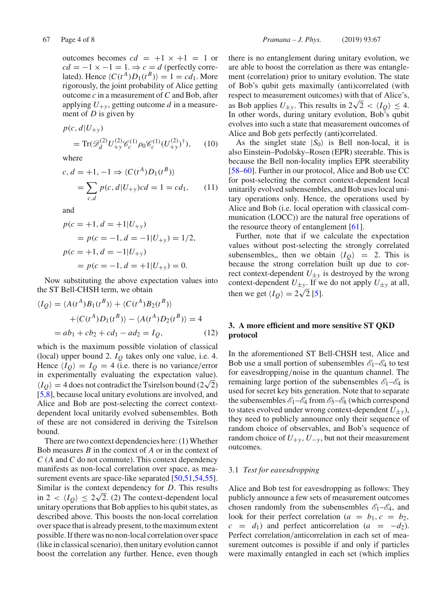outcomes becomes  $cd = +1 \times +1 = 1$  or  $cd = -1 \times -1 = 1. \Rightarrow c = d$  (perfectly correlated). Hence  $\langle C(t^A)D_1(t^B) \rangle = 1 = cd_1$ . More rigorously, the joint probability of Alice getting outcome *c* in a measurement of *C* and Bob, after applying  $U_{+y}$ , getting outcome *d* in a measurement of *D* is given by

$$
p(c, d|U_{+y})
$$
  
= Tr( $\mathscr{D}_d^{(2)} U_{+y}^{(2)} \mathscr{C}_c^{(1)} \rho_0 \mathscr{C}_c^{(1)} (U_{+y}^{(2)})^{\dagger}$ ), (10)

where

$$
c, d = +1, -1 \Rightarrow \langle C(t^A)D_1(t^B) \rangle
$$
  
= 
$$
\sum_{c,d} p(c, d|U_{+y})cd = 1 = cd_1,
$$
 (11)

and

$$
p(c = +1, d = +1|U_{+y})
$$
  
=  $p(c = -1, d = -1|U_{+y}) = 1/2,$   

$$
p(c = +1, d = -1|U_{+y})
$$
  
=  $p(c = -1, d = +1|U_{+y}) = 0.$ 

Now substituting the above expectation values into the ST Bell-CHSH term, we obtain

$$
\langle I_Q \rangle = \langle A(t^A)B_1(t^B) \rangle + \langle C(t^A)B_2(t^B) \rangle
$$

$$
+ \langle C(t^A)D_1(t^B) \rangle - \langle A(t^A)D_2(t^B) \rangle = 4
$$

$$
= ab_1 + cb_2 + cd_1 - ad_2 = I_Q,
$$
(12)

which is the maximum possible violation of classical (local) upper bound 2. *IQ* takes only one value, i.e. 4. Hence  $\langle I_Q \rangle = I_Q = 4$  (i.e. there is no variance/error in experimentally evaluating the expectation value).  $I_Q$  = 4 does not contradict the Tsirelson bound (2 $\sqrt{2}$ ) [5,8], because local unitary evolutions are involved, and Alice and Bob are post-selecting the correct contextdependent local unitarily evolved subensembles. Both of these are not considered in deriving the Tsirelson bound.

There are two context dependencies here: (1) Whether Bob measures *B* in the context of *A* or in the context of *C* (*A* and *C* do not commute). This context dependency manifests as non-local correlation over space, as measurement events are space-like separated [50,51,54,55]. Similar is the context dependency for *D*. This results in  $2 < \langle I_Q \rangle \leq 2\sqrt{2}$ . (2) The context-dependent local unitary operations that Bob applies to his qubit states, as described above. This boosts the non-local correlation over space that is already present, to the maximum extent possible. If there was no non-local correlation over space (like in classical scenario), then unitary evolution cannot boost the correlation any further. Hence, even though there is no entanglement during unitary evolution, we are able to boost the correlation as there was entanglement (correlation) prior to unitary evolution. The state of Bob's qubit gets maximally (anti)correlated (with respect to measurement outcomes) with that of Alice's, as Bob applies  $U_{\pm y}$ . This results in  $2\sqrt{2} < \langle I_Q \rangle \leq 4$ . In other words, during unitary evolution, Bob's qubit evolves into such a state that measurement outcomes of Alice and Bob gets perfectly (anti)correlated.

As the singlet state  $|S_0\rangle$  is Bell non-local, it is also Einstein–Podolsky–Rosen (EPR) steerable. This is because the Bell non-locality implies EPR steerability [58–60]. Further in our protocol, Alice and Bob use CC for post-selecting the correct context-dependent local unitarily evolved subensembles, and Bob uses local unitary operations only. Hence, the operations used by Alice and Bob (i.e. local operation with classical communication (LOCC)) are the natural free operations of the resource theory of entanglement [61].

Further, note that if we calculate the expectation values without post-selecting the strongly correlated subensembles, then we obtain  $\langle I_O \rangle$  = 2. This is because the strong correlation built up due to correct context-dependent  $U_{\pm y}$  is destroyed by the wrong context-dependent  $U_{\pm y}$ . If we do not apply  $U_{\pm y}$  at all, then we get  $\langle I_Q \rangle = 2\sqrt{2}$  [5].

## **3. A more efficient and more sensitive ST QKD protocol**

In the aforementioned ST Bell-CHSH test, Alice and Bob use a small portion of subensembles  $\mathscr{E}_1-\mathscr{E}_4$  to test for eavesdropping/noise in the quantum channel. The remaining large portion of the subensembles  $\mathscr{E}_1-\mathscr{E}_4$  is used for secret key bits generation. Note that to separate the subensembles  $\mathscr{E}_1-\mathscr{E}_4$  from  $\mathscr{E}_5-\mathscr{E}_8$  (which correspond to states evolved under wrong context-dependent  $U_{\pm y}$ ), they need to publicly announce only their sequence of random choice of observables, and Bob's sequence of random choice of  $U_{+y}$ ,  $U_{-y}$ , but not their measurement outcomes.

### 3.1 *Test for eavesdropping*

Alice and Bob test for eavesdropping as follows: They publicly announce a few sets of measurement outcomes chosen randomly from the subensembles  $\mathscr{E}_1-\mathscr{E}_4$ , and look for their perfect correlation ( $a = b_1, c = b_2$ ,  $c = d_1$ ) and perfect anticorrelation  $(a = -d_2)$ . Perfect correlation/anticorrelation in each set of measurement outcomes is possible if and only if particles were maximally entangled in each set (which implies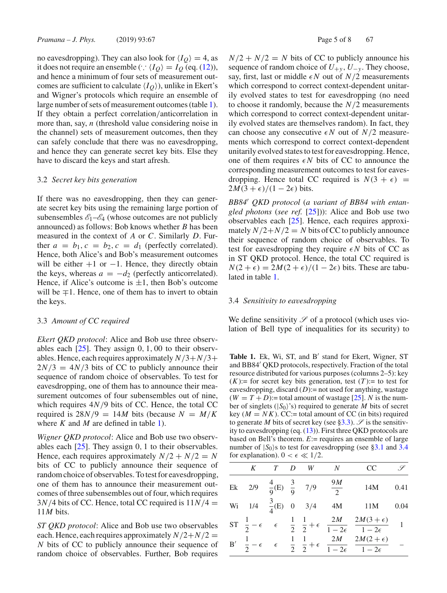no eavesdropping). They can also look for  $\langle I_O \rangle = 4$ , as it does not require an ensemble (∵  $\langle I_Q \rangle = I_Q$  (eq. (12)), and hence a minimum of four sets of measurement outcomes are sufficient to calculate  $\langle I_O \rangle$ , unlike in Ekert's and Wigner's protocols which require an ensemble of large number of sets of measurement outcomes (table 1). If they obtain a perfect correlation/anticorrelation in more than, say, *n* (threshold value considering noise in the channel) sets of measurement outcomes, then they can safely conclude that there was no eavesdropping, and hence they can generate secret key bits. Else they have to discard the keys and start afresh.

#### 3.2 *Secret key bits generation*

If there was no eavesdropping, then they can generate secret key bits using the remaining large portion of subensembles  $\mathscr{E}_1-\mathscr{E}_4$  (whose outcomes are not publicly announced) as follows: Bob knows whether *B* has been measured in the context of *A* or *C*. Similarly *D*. Further  $a = b_1$ ,  $c = b_2$ ,  $c = d_1$  (perfectly correlated). Hence, both Alice's and Bob's measurement outcomes will be either  $+1$  or  $-1$ . Hence, they directly obtain the keys, whereas  $a = -d_2$  (perfectly anticorrelated). Hence, if Alice's outcome is  $\pm 1$ , then Bob's outcome will be  $\mp 1$ . Hence, one of them has to invert to obtain the keys.

#### 3.3 *Amount of CC required*

*Ekert QKD protocol*: Alice and Bob use three observables each  $[25]$ . They assign 0, 1, 00 to their observables. Hence, each requires approximately  $N/3 + N/3 +$  $2N/3 = 4N/3$  bits of CC to publicly announce their sequence of random choice of observables. To test for eavesdropping, one of them has to announce their measurement outcomes of four subensembles out of nine, which requires  $4N/9$  bits of CC. Hence, the total CC required is  $28N/9 = 14M$  bits (because  $N = M/K$ where *K* and *M* are defined in table 1).

*Wigner QKD protocol*: Alice and Bob use two observables each  $[25]$ . They assign 0, 1 to their observables. Hence, each requires approximately  $N/2 + N/2 = N$ bits of CC to publicly announce their sequence of random choice of observables. To test for eavesdropping, one of them has to announce their measurement outcomes of three subensembles out of four, which requires  $3N/4$  bits of CC. Hence, total CC required is  $11N/4 =$ 11*M* bits.

*ST QKD protocol*: Alice and Bob use two observables each. Hence, each requires approximately  $N/2+N/2 =$ *N* bits of CC to publicly announce their sequence of random choice of observables. Further, Bob requires

 $N/2 + N/2 = N$  bits of CC to publicly announce his sequence of random choice of  $U_{+y}$ ,  $U_{-y}$ . They choose, say, first, last or middle  $\epsilon N$  out of  $N/2$  measurements which correspond to correct context-dependent unitarily evolved states to test for eavesdropping (no need to choose it randomly, because the *N*/2 measurements which correspond to correct context-dependent unitarily evolved states are themselves random). In fact, they can choose any consecutive  $\epsilon N$  out of  $N/2$  measurements which correspond to correct context-dependent unitarily evolved states to test for eavesdropping. Hence, one of them requires  $\epsilon N$  bits of CC to announce the corresponding measurement outcomes to test for eavesdropping. Hence total CC required is  $N(3 + \epsilon)$  =  $2M(3 + \epsilon)/(1 - 2\epsilon)$  bits.

*BB84 QKD protocol* (*a variant of BB84 with entangled photons* (*see ref.* [25])): Alice and Bob use two observables each [25]. Hence, each requires approximately  $N/2 + N/2 = N$  bits of CC to publicly announce their sequence of random choice of observables. To test for eavesdropping they require  $\epsilon N$  bits of CC as in ST QKD protocol. Hence, the total CC required is  $N(2 + \epsilon) = 2M(2 + \epsilon)/(1 - 2\epsilon)$  bits. These are tabulated in table 1.

#### 3.4 *Sensitivity to eavesdropping*

We define sensitivity  $\mathscr S$  of a protocol (which uses violation of Bell type of inequalities for its security) to

Table 1. Ek, Wi, ST, and B' stand for Ekert, Wigner, ST and BB84 QKD protocols, respectively. Fraction of the total resource distributed for various purposes (columns 2–5): key  $(K)$ := for secret key bits generation, test  $(T)$ := to test for eavesdropping, discard  $(D)$ := not used for anything, wastage  $(W = T + D)$ := total amount of wastage [25]. *N* is the number of singlets  $(|S_0\rangle)$ 's) required to generate *M* bits of secret key  $(M = NK)$ . CC:= total amount of CC (in bits) required to generate *M* bits of secret key (see §3.3).  $\mathscr{S}$  is the sensitivity to eavesdropping (eq.  $(13)$ ). First three QKD protocols are based on Bell's theorem. *E*:= requires an ensemble of large number of  $|S_0\rangle$ s to test for eavesdropping (see §3.1 and 3.4 for explanation).  $0 < \epsilon \ll 1/2$ .

|    | K                                          | T | D | W | $\overline{N}$ | <b>CC</b>                                                                                                                                                                                             | $\varphi$ |
|----|--------------------------------------------|---|---|---|----------------|-------------------------------------------------------------------------------------------------------------------------------------------------------------------------------------------------------|-----------|
|    | Ek 2/9 $\frac{4}{9}$ (E) $\frac{3}{9}$ 7/9 |   |   |   | $\frac{9M}{2}$ | 14M                                                                                                                                                                                                   | 0.41      |
|    | Wi 1/4 $\frac{3}{4}$ (E) 0 3/4             |   |   |   | 4M             | 11M                                                                                                                                                                                                   | 0.04      |
|    |                                            |   |   |   |                | ST $\frac{1}{2} - \epsilon$ $\epsilon$ $\frac{1}{2}$ $\frac{1}{2} + \epsilon$ $\frac{2M}{1 - 2\epsilon}$ $\frac{2M(3 + \epsilon)}{1 - 2\epsilon}$                                                     |           |
| B' |                                            |   |   |   |                | $\frac{1}{2}-\epsilon \hspace{0.1in} \epsilon \hspace{0.1in} \frac{1}{2} \hspace{0.1in} \frac{1}{2}+\epsilon \hspace{0.1in} \frac{2M}{1-2\epsilon} \hspace{0.1in} \frac{2M(2+\epsilon)}{1-2\epsilon}$ |           |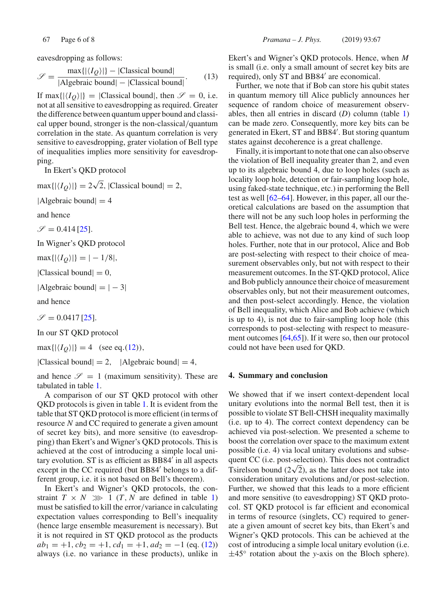$$
\mathcal{S} = \frac{\max\{|\langle I_Q \rangle|\} - |\text{Classical bound}|}{|\text{Algebraic bound}| - |\text{Classical bound}|}. \tag{13}
$$

If max $\{| \langle I_Q \rangle |} = |$ Classical bound, then  $\mathscr{S} = 0$ , i.e. not at all sensitive to eavesdropping as required. Greater the difference between quantum upper bound and classical upper bound, stronger is the non-classical/quantum correlation in the state. As quantum correlation is very sensitive to eavesdropping, grater violation of Bell type of inequalities implies more sensitivity for eavesdropping.

In Ekert's QKD protocol

 $max{|\langle I_Q \rangle|} = 2\sqrt{2}$ , |Classical bound| = 2,

 $|Algebraic bound| = 4$ 

and hence

 $\mathscr{S} = 0.414$  [25].

In Wigner's QKD protocol

 $\max\{| \langle I_Q \rangle |} = |-1/8|$ ,

|Classical bound $| = 0$ ,

|Algebraic bound $|=|-3|$ 

and hence

 $\mathscr{S} = 0.0417$  [25].

In our ST QKD protocol

 $max{|\langle I_O \rangle|} = 4$  (see eq.(12)),

|Classical bound $| = 2$ , |Algebraic bound $| = 4$ ,

and hence  $\mathscr{S} = 1$  (maximum sensitivity). These are tabulated in table 1.

A comparison of our ST QKD protocol with other QKD protocols is given in table 1. It is evident from the table that ST QKD protocol is more efficient (in terms of resource *N* and CC required to generate a given amount of secret key bits), and more sensitive (to eavesdropping) than Ekert's and Wigner's QKD protocols. This is achieved at the cost of introducing a simple local unitary evolution. ST is as efficient as BB84 in all aspects except in the CC required (but BB84 belongs to a different group, i.e. it is not based on Bell's theorem).

In Ekert's and Wigner's QKD protocols, the constraint  $T \times N \gg 1$  (*T*, *N* are defined in table 1) must be satisfied to kill the error/variance in calculating expectation values corresponding to Bell's inequality (hence large ensemble measurement is necessary). But it is not required in ST QKD protocol as the products  $ab_1 = +1$ ,  $cb_2 = +1$ ,  $cd_1 = +1$ ,  $ad_2 = -1$  (eq. (12)) always (i.e. no variance in these products), unlike in Ekert's and Wigner's QKD protocols. Hence, when *M* is small (i.e. only a small amount of secret key bits are required), only ST and BB84' are economical.

Further, we note that if Bob can store his qubit states in quantum memory till Alice publicly announces her sequence of random choice of measurement observables, then all entries in discard (*D*) column (table 1) can be made zero. Consequently, more key bits can be generated in Ekert, ST and BB84 . But storing quantum states against decoherence is a great challenge.

Finally, it is important to note that one can also observe the violation of Bell inequality greater than 2, and even up to its algebraic bound 4, due to loop holes (such as locality loop hole, detection or fair-sampling loop hole, using faked-state technique, etc.) in performing the Bell test as well [62–64]. However, in this paper, all our theoretical calculations are based on the assumption that there will not be any such loop holes in performing the Bell test. Hence, the algebraic bound 4, which we were able to achieve, was not due to any kind of such loop holes. Further, note that in our protocol, Alice and Bob are post-selecting with respect to their choice of measurement observables only, but not with respect to their measurement outcomes. In the ST-QKD protocol, Alice and Bob publicly announce their choice of measurement observables only, but not their measurement outcomes, and then post-select accordingly. Hence, the violation of Bell inequality, which Alice and Bob achieve (which is up to 4), is not due to fair-sampling loop hole (this corresponds to post-selecting with respect to measurement outcomes [64,65]). If it were so, then our protocol could not have been used for QKD.

### **4. Summary and conclusion**

We showed that if we insert context-dependent local unitary evolutions into the normal Bell test, then it is possible to violate ST Bell-CHSH inequality maximally (i.e. up to 4). The correct context dependency can be achieved via post-selection. We presented a scheme to boost the correlation over space to the maximum extent possible (i.e. 4) via local unitary evolutions and subsequent CC (i.e. post-selection). This does not contradict Tsirelson bound ( $2\sqrt{2}$ ), as the latter does not take into consideration unitary evolutions and/or post-selection. Further, we showed that this leads to a more efficient and more sensitive (to eavesdropping) ST QKD protocol. ST QKD protocol is far efficient and economical in terms of resource (singlets, CC) required to generate a given amount of secret key bits, than Ekert's and Wigner's QKD protocols. This can be achieved at the cost of introducing a simple local unitary evolution (i.e. ±45◦ rotation about the *y*-axis on the Bloch sphere).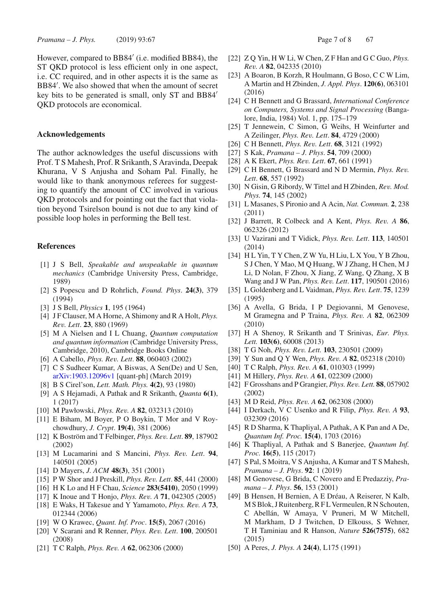*Pramana – J. Phys.* (2019) 93:67 **Page 7 of 8 67** Page 7 of 8 67

However, compared to BB84 (i.e. modified BB84), the ST QKD protocol is less efficient only in one aspect, i.e. CC required, and in other aspects it is the same as BB84 . We also showed that when the amount of secret key bits to be generated is small, only ST and BB84 QKD protocols are economical.

## **Acknowledgements**

The author acknowledges the useful discussions with Prof. T S Mahesh, Prof. R Srikanth, S Aravinda, Deepak Khurana, V S Anjusha and Soham Pal. Finally, he would like to thank anonymous referees for suggesting to quantify the amount of CC involved in various QKD protocols and for pointing out the fact that violation beyond Tsirelson bound is not due to any kind of possible loop holes in performing the Bell test.

#### **References**

- [1] J S Bell, *Speakable and unspeakable in quantum mechanics* (Cambridge University Press, Cambridge, 1989)
- [2] S Popescu and D Rohrlich, *Found. Phys*. **24(3)**, 379 (1994)
- [3] J S Bell, *Physics* **1**, 195 (1964)
- [4] J F Clauser, M A Horne, A Shimony and R A Holt, *Phys. Rev. Lett*. **23**, 880 (1969)
- [5] M A Nielsen and I L Chuang, *Quantum computation and quantum information* (Cambridge University Press, Cambridge, 2010), Cambridge Books Online
- [6] A Cabello, *Phys. Rev. Lett*. **88**, 060403 (2002)
- [7] C S Sudheer Kumar, A Biswas, A Sen(De) and U Sen, arXiv:1903.12096v1 [quant-ph] (March 2019)
- [8] B S Cirel'son, *Lett. Math. Phys.* **4(2)**, 93 (1980)
- [9] A S Hejamadi, A Pathak and R Srikanth, *Quanta* **6(1)**, 1 (2017)
- [10] M Pawłowski, *Phys. Rev. A* **82**, 032313 (2010)
- [11] E Biham, M Boyer, P O Boykin, T Mor and V Roychowdhury, *J. Crypt*. **19(4)**, 381 (2006)
- [12] K Boström and T Felbinger, *Phys. Rev. Lett*. **89**, 187902 (2002)
- [13] M Lucamarini and S Mancini, *Phys. Rev. Lett*. **94**, 140501 (2005)
- [14] D Mayers, *J. ACM* **48(3)**, 351 (2001)
- [15] P W Shor and J Preskill, *Phys. Rev. Lett*. **85**, 441 (2000)
- [16] H K Lo and H F Chau, *Science* **283(5410)**, 2050 (1999)
- [17] K Inoue and T Honjo, *Phys. Rev. A* **71**, 042305 (2005)
- [18] E Waks, H Takesue and Y Yamamoto, *Phys. Rev. A* **73**, 012344 (2006)
- [19] W O Krawec, *Quant. Inf. Proc*. **15(5)**, 2067 (2016)
- [20] V Scarani and R Renner, *Phys. Rev. Lett*. **100**, 200501 (2008)
- [21] T C Ralph, *Phys. Rev. A* **62**, 062306 (2000)
- [22] Z Q Yin, H W Li, W Chen, Z F Han and G C Guo, *Phys. Rev. A* **82**, 042335 (2010)
- [23] A Boaron, B Korzh, R Houlmann, G Boso, C C W Lim, A Martin and H Zbinden, *J. Appl. Phys*. **120(6)**, 063101 (2016)
- [24] C H Bennett and G Brassard, *International Conference on Computers, Systems and Signal Processing* (Bangalore, India, 1984) Vol. 1, pp. 175–179
- [25] T Jennewein, C Simon, G Weihs, H Weinfurter and A Zeilinger, *Phys. Rev. Lett*. **84**, 4729 (2000)
- [26] C H Bennett, *Phys. Rev. Lett*. **68**, 3121 (1992)
- [27] S Kak, *Pramana J. Phys*. **54**, 709 (2000)
- [28] A K Ekert, *Phys. Rev. Lett*. **67**, 661 (1991)
- [29] C H Bennett, G Brassard and N D Mermin, *Phys. Rev. Lett*. **68**, 557 (1992)
- [30] N Gisin, G Ribordy, W Tittel and H Zbinden, *Rev. Mod. Phys.* **74**, 145 (2002)
- [31] L Masanes, S Pironio and A Acin, *Nat. Commun.* **2**, 238 (2011)
- [32] J Barrett, R Colbeck and A Kent, *Phys. Rev. A* **86**, 062326 (2012)
- [33] U Vazirani and T Vidick, *Phys. Rev. Lett*. **113**, 140501 (2014)
- [34] H L Yin, T Y Chen, Z W Yu, H Liu, L X You, Y B Zhou, S J Chen, Y Mao, M Q Huang, W J Zhang, H Chen, M J Li, D Nolan, F Zhou, X Jiang, Z Wang, Q Zhang, X B Wang and J W Pan, *Phys. Rev. Lett*. **117**, 190501 (2016)
- [35] L Goldenberg and L Vaidman, *Phys. Rev. Lett*. **75**, 1239 (1995)
- [36] A Avella, G Brida, I P Degiovanni, M Genovese, M Gramegna and P Traina, *Phys. Rev. A* **82**, 062309 (2010)
- [37] H A Shenoy, R Srikanth and T Srinivas, *Eur. Phys. Lett.* **103(6)**, 60008 (2013)
- [38] T G Noh, *Phys. Rev. Lett.* **103**, 230501 (2009)
- [39] Y Sun and Q Y Wen, *Phys. Rev. A* **82**, 052318 (2010)
- [40] T C Ralph, *Phys. Rev. A* **61**, 010303 (1999)
- [41] M Hillery, *Phys. Rev. A* **61**, 022309 (2000)
- [42] F Grosshans and P Grangier, *Phys. Rev. Lett.* **88**, 057902 (2002)
- [43] M D Reid, *Phys. Rev. A* **62**, 062308 (2000)
- [44] I Derkach, V C Usenko and R Filip, *Phys. Rev. A* **93**, 032309 (2016)
- [45] R D Sharma, K Thapliyal, A Pathak, A K Pan and A De, *Quantum Inf. Proc.* **15(4)**, 1703 (2016)
- [46] K Thapliyal, A Pathak and S Banerjee, *Quantum Inf. Proc.* **16(5)**, 115 (2017)
- [47] S Pal, S Moitra, V S Anjusha, A Kumar and T S Mahesh, *Pramana – J. Phys*. **92**: 1 (2019)
- [48] M Genovese, G Brida, C Novero and E Predazziy, *Pramana – J. Phys*. **56**, 153 (2001)
- [49] B Hensen, H Bernien, A E Dréau, A Reiserer, N Kalb, M S Blok, J Ruitenberg, R F L Vermeulen, R N Schouten, C Abellán, W Amaya, V Pruneri, M W Mitchell, M Markham, D J Twitchen, D Elkouss, S Wehner, T H Taminiau and R Hanson, *Nature* **526(7575)**, 682 (2015)
- [50] A Peres, *J. Phys. A* **24(4)**, L175 (1991)